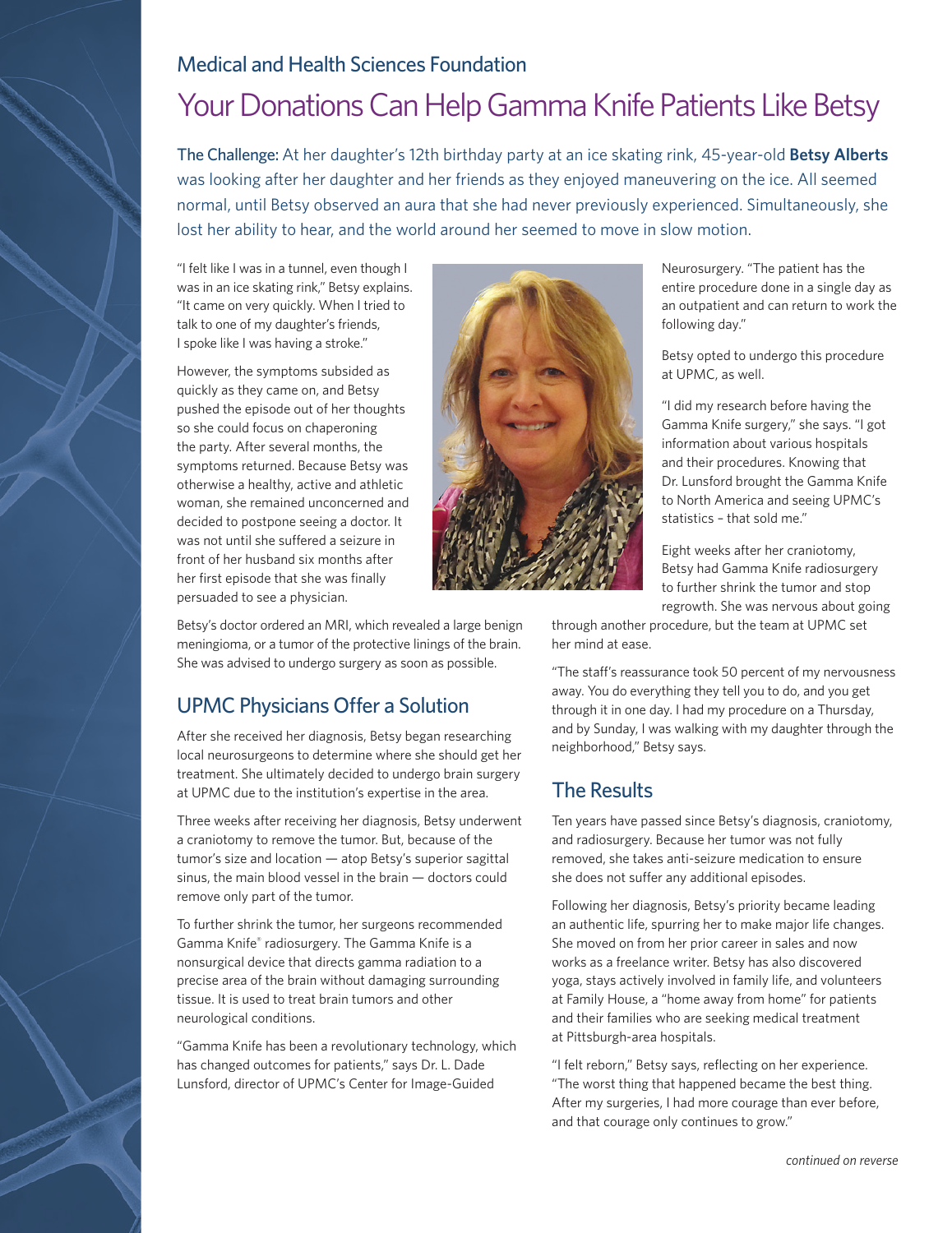### Medical and Health Sciences Foundation

## Your Donations Can Help Gamma Knife Patients Like Betsy

The Challenge: At her daughter's 12th birthday party at an ice skating rink, 45-year-old **Betsy Alberts** was looking after her daughter and her friends as they enjoyed maneuvering on the ice. All seemed normal, until Betsy observed an aura that she had never previously experienced. Simultaneously, she lost her ability to hear, and the world around her seemed to move in slow motion.

"I felt like I was in a tunnel, even though I was in an ice skating rink," Betsy explains. "It came on very quickly. When I tried to talk to one of my daughter's friends, I spoke like I was having a stroke."

However, the symptoms subsided as quickly as they came on, and Betsy pushed the episode out of her thoughts so she could focus on chaperoning the party. After several months, the symptoms returned. Because Betsy was otherwise a healthy, active and athletic woman, she remained unconcerned and decided to postpone seeing a doctor. It was not until she suffered a seizure in front of her husband six months after her first episode that she was finally persuaded to see a physician.



Betsy's doctor ordered an MRI, which revealed a large benign meningioma, or a tumor of the protective linings of the brain. She was advised to undergo surgery as soon as possible.

### UPMC Physicians Offer a Solution

After she received her diagnosis, Betsy began researching local neurosurgeons to determine where she should get her treatment. She ultimately decided to undergo brain surgery at UPMC due to the institution's expertise in the area.

Three weeks after receiving her diagnosis, Betsy underwent a craniotomy to remove the tumor. But, because of the tumor's size and location — atop Betsy's superior sagittal sinus, the main blood vessel in the brain — doctors could remove only part of the tumor.

To further shrink the tumor, her surgeons recommended Gamma Knife® radiosurgery. The Gamma Knife is a nonsurgical device that directs gamma radiation to a precise area of the brain without damaging surrounding tissue. It is used to treat brain tumors and other neurological conditions.

"Gamma Knife has been a revolutionary technology, which has changed outcomes for patients," says Dr. L. Dade Lunsford, director of UPMC's Center for Image-Guided

Neurosurgery. "The patient has the entire procedure done in a single day as an outpatient and can return to work the following day."

Betsy opted to undergo this procedure at UPMC, as well.

"I did my research before having the Gamma Knife surgery," she says. "I got information about various hospitals and their procedures. Knowing that Dr. Lunsford brought the Gamma Knife to North America and seeing UPMC's statistics – that sold me."

Eight weeks after her craniotomy, Betsy had Gamma Knife radiosurgery to further shrink the tumor and stop regrowth. She was nervous about going

through another procedure, but the team at UPMC set her mind at ease.

"The staff's reassurance took 50 percent of my nervousness away. You do everything they tell you to do, and you get through it in one day. I had my procedure on a Thursday, and by Sunday, I was walking with my daughter through the neighborhood," Betsy says.

### The Results

Ten years have passed since Betsy's diagnosis, craniotomy, and radiosurgery. Because her tumor was not fully removed, she takes anti-seizure medication to ensure she does not suffer any additional episodes.

Following her diagnosis, Betsy's priority became leading an authentic life, spurring her to make major life changes. She moved on from her prior career in sales and now works as a freelance writer. Betsy has also discovered yoga, stays actively involved in family life, and volunteers at Family House, a "home away from home" for patients and their families who are seeking medical treatment at Pittsburgh-area hospitals.

"I felt reborn," Betsy says, reflecting on her experience. "The worst thing that happened became the best thing. After my surgeries, I had more courage than ever before, and that courage only continues to grow."